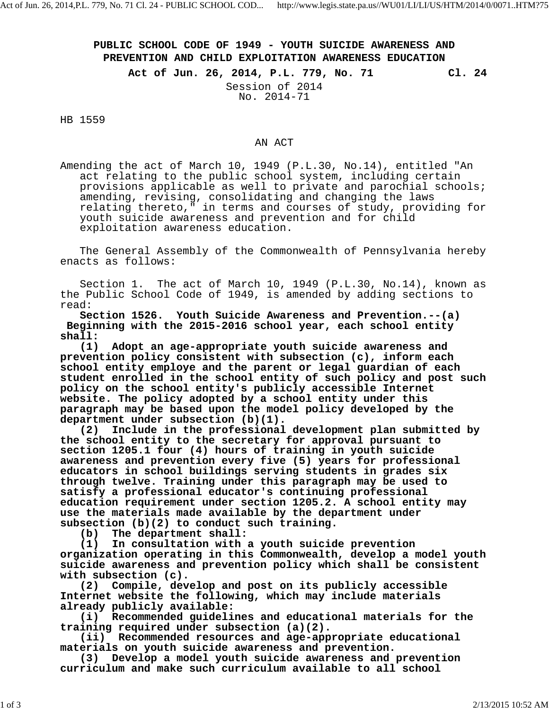## **PUBLIC SCHOOL CODE OF 1949 - YOUTH SUICIDE AWARENESS AND PREVENTION AND CHILD EXPLOITATION AWARENESS EDUCATION**

**Act of Jun. 26, 2014, P.L. 779, No. 71 Cl. 24**

Session of 2014 No. 2014-71

HB 1559

## AN ACT

Amending the act of March 10, 1949 (P.L.30, No.14), entitled "An act relating to the public school system, including certain provisions applicable as well to private and parochial schools; amending, revising, consolidating and changing the laws relating thereto," in terms and courses of study, providing for youth suicide awareness and prevention and for child exploitation awareness education.

The General Assembly of the Commonwealth of Pennsylvania hereby enacts as follows:

Section 1. The act of March 10, 1949 (P.L.30, No.14), known as the Public School Code of 1949, is amended by adding sections to read:

**Section 1526. Youth Suicide Awareness and Prevention.--(a) Beginning with the 2015-2016 school year, each school entity shall:**

**(1) Adopt an age-appropriate youth suicide awareness and prevention policy consistent with subsection (c), inform each school entity employe and the parent or legal guardian of each student enrolled in the school entity of such policy and post such policy on the school entity's publicly accessible Internet website. The policy adopted by a school entity under this paragraph may be based upon the model policy developed by the department under subsection (b)(1).**

**(2) Include in the professional development plan submitted by the school entity to the secretary for approval pursuant to section 1205.1 four (4) hours of training in youth suicide awareness and prevention every five (5) years for professional educators in school buildings serving students in grades six through twelve. Training under this paragraph may be used to satisfy a professional educator's continuing professional education requirement under section 1205.2. A school entity may use the materials made available by the department under subsection (b)(2) to conduct such training.**

**(b) The department shall:**

**(1) In consultation with a youth suicide prevention organization operating in this Commonwealth, develop a model youth suicide awareness and prevention policy which shall be consistent with subsection (c).**

**(2) Compile, develop and post on its publicly accessible Internet website the following, which may include materials already publicly available:**

**(i) Recommended guidelines and educational materials for the training required under subsection (a)(2).**

**(ii) Recommended resources and age-appropriate educational materials on youth suicide awareness and prevention.**

**(3) Develop a model youth suicide awareness and prevention curriculum and make such curriculum available to all school**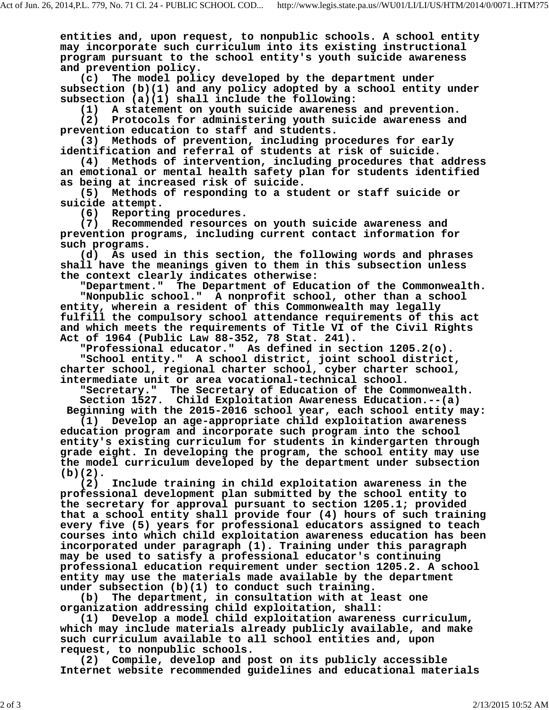**entities and, upon request, to nonpublic schools. A school entity may incorporate such curriculum into its existing instructional program pursuant to the school entity's youth suicide awareness and prevention policy.**

**(c) The model policy developed by the department under subsection (b)(1) and any policy adopted by a school entity under subsection (a)(1) shall include the following:**

**(1) A statement on youth suicide awareness and prevention.**

**(2) Protocols for administering youth suicide awareness and prevention education to staff and students.**

**(3) Methods of prevention, including procedures for early identification and referral of students at risk of suicide.**

**(4) Methods of intervention, including procedures that address an emotional or mental health safety plan for students identified as being at increased risk of suicide.**

**(5) Methods of responding to a student or staff suicide or suicide attempt.**

**(6) Reporting procedures.**

**(7) Recommended resources on youth suicide awareness and prevention programs, including current contact information for such programs.**

**(d) As used in this section, the following words and phrases shall have the meanings given to them in this subsection unless the context clearly indicates otherwise:**

**"Department." The Department of Education of the Commonwealth. "Nonpublic school." A nonprofit school, other than a school entity, wherein a resident of this Commonwealth may legally fulfill the compulsory school attendance requirements of this act and which meets the requirements of Title VI of the Civil Rights Act of 1964 (Public Law 88-352, 78 Stat. 241).**

**"Professional educator." As defined in section 1205.2(o). "School entity." A school district, joint school district, charter school, regional charter school, cyber charter school, intermediate unit or area vocational-technical school.**

**"Secretary." The Secretary of Education of the Commonwealth. Section 1527. Child Exploitation Awareness Education.--(a)**

 **Beginning with the 2015-2016 school year, each school entity may:**

**(1) Develop an age-appropriate child exploitation awareness education program and incorporate such program into the school entity's existing curriculum for students in kindergarten through grade eight. In developing the program, the school entity may use the model curriculum developed by the department under subsection (b)(2).**

**(2) Include training in child exploitation awareness in the professional development plan submitted by the school entity to the secretary for approval pursuant to section 1205.1; provided that a school entity shall provide four (4) hours of such training every five (5) years for professional educators assigned to teach courses into which child exploitation awareness education has been incorporated under paragraph (1). Training under this paragraph may be used to satisfy a professional educator's continuing professional education requirement under section 1205.2. A school entity may use the materials made available by the department under subsection (b)(1) to conduct such training.**

**(b) The department, in consultation with at least one organization addressing child exploitation, shall:**

**(1) Develop a model child exploitation awareness curriculum, which may include materials already publicly available, and make such curriculum available to all school entities and, upon**

**request, to nonpublic schools. (2) Compile, develop and post on its publicly accessible Internet website recommended guidelines and educational materials**